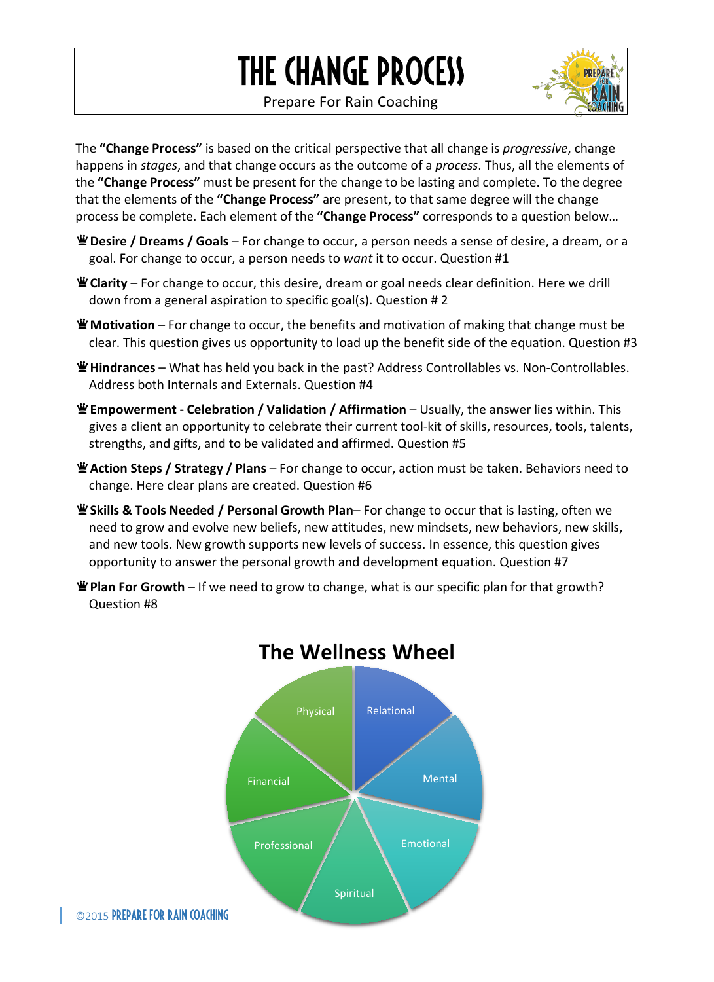## The Change Process

Prepare For Rain Coaching



The **"Change Process"** is based on the critical perspective that all change is *progressive*, change happens in *stages*, and that change occurs as the outcome of a *process*. Thus, all the elements of the **"Change Process"** must be present for the change to be lasting and complete. To the degree that the elements of the **"Change Process"** are present, to that same degree will the change process be complete. Each element of the **"Change Process"** corresponds to a question below…

- **堂 Desire / Dreams / Goals** For change to occur, a person needs a sense of desire, a dream, or a goal. For change to occur, a person needs to *want* it to occur. Question #1
- **堂 Clarity** For change to occur, this desire, dream or goal needs clear definition. Here we drill down from a general aspiration to specific goal(s). Question # 2
- **W** Motivation For change to occur, the benefits and motivation of making that change must be clear. This question gives us opportunity to load up the benefit side of the equation. Question #3
- **W Hindrances** What has held you back in the past? Address Controllables vs. Non-Controllables. Address both Internals and Externals. Question #4
- **W** Empowerment Celebration / Validation / Affirmation Usually, the answer lies within. This gives a client an opportunity to celebrate their current tool-kit of skills, resources, tools, talents, strengths, and gifts, and to be validated and affirmed. Question #5
- **W Action Steps / Strategy / Plans** For change to occur, action must be taken. Behaviors need to change. Here clear plans are created. Question #6
- $\mathbf{\mathbf{\Psi}}$  **Skills & Tools Needed / Personal Growth Plan–** For change to occur that is lasting, often we need to grow and evolve new beliefs, new attitudes, new mindsets, new behaviors, new skills, and new tools. New growth supports new levels of success. In essence, this question gives opportunity to answer the personal growth and development equation. Question #7
- **W Plan For Growth** If we need to grow to change, what is our specific plan for that growth? Question #8



## **The Wellness Wheel**

©2015 Prepare For Rain Coaching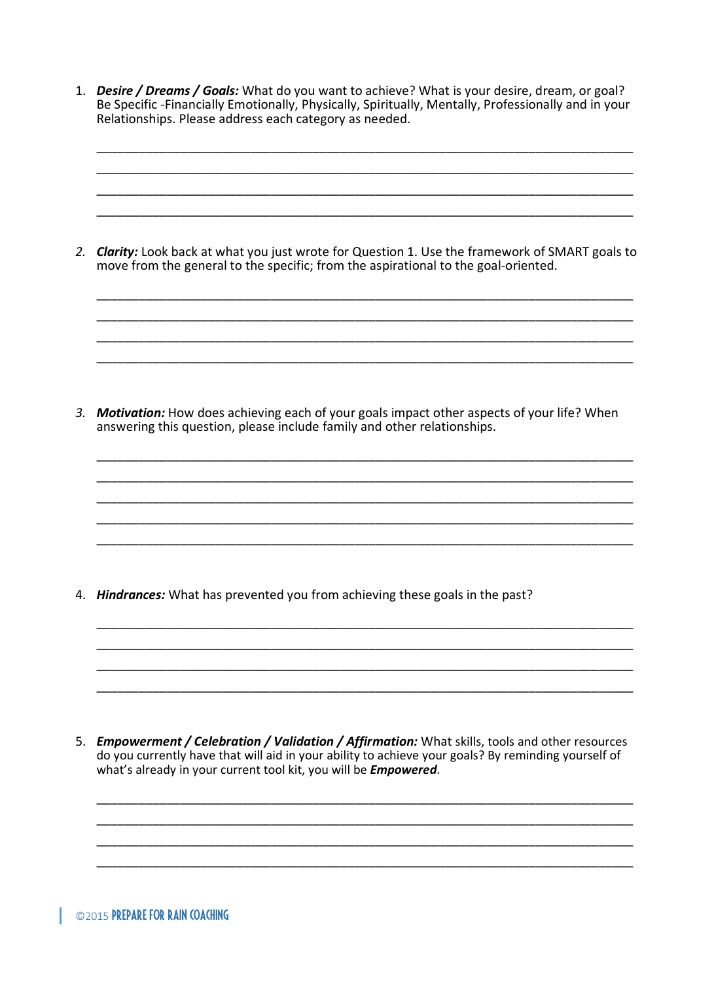1. *Desire / Dreams / Goals:* What do you want to achieve? What is your desire, dream, or goal? Be Specific -Financially Emotionally, Physically, Spiritually, Mentally, Professionally and in your Relationships. Please address each category as needed.

\_\_\_\_\_\_\_\_\_\_\_\_\_\_\_\_\_\_\_\_\_\_\_\_\_\_\_\_\_\_\_\_\_\_\_\_\_\_\_\_\_\_\_\_\_\_\_\_\_\_\_\_\_\_\_\_\_\_\_\_\_\_\_\_\_\_\_\_\_\_\_\_\_\_\_\_\_ \_\_\_\_\_\_\_\_\_\_\_\_\_\_\_\_\_\_\_\_\_\_\_\_\_\_\_\_\_\_\_\_\_\_\_\_\_\_\_\_\_\_\_\_\_\_\_\_\_\_\_\_\_\_\_\_\_\_\_\_\_\_\_\_\_\_\_\_\_\_\_\_\_\_\_\_\_ \_\_\_\_\_\_\_\_\_\_\_\_\_\_\_\_\_\_\_\_\_\_\_\_\_\_\_\_\_\_\_\_\_\_\_\_\_\_\_\_\_\_\_\_\_\_\_\_\_\_\_\_\_\_\_\_\_\_\_\_\_\_\_\_\_\_\_\_\_\_\_\_\_\_\_\_\_ \_\_\_\_\_\_\_\_\_\_\_\_\_\_\_\_\_\_\_\_\_\_\_\_\_\_\_\_\_\_\_\_\_\_\_\_\_\_\_\_\_\_\_\_\_\_\_\_\_\_\_\_\_\_\_\_\_\_\_\_\_\_\_\_\_\_\_\_\_\_\_\_\_\_\_\_\_

*2. Clarity:* Look back at what you just wrote for Question 1. Use the framework of SMART goals to move from the general to the specific; from the aspirational to the goal-oriented.

\_\_\_\_\_\_\_\_\_\_\_\_\_\_\_\_\_\_\_\_\_\_\_\_\_\_\_\_\_\_\_\_\_\_\_\_\_\_\_\_\_\_\_\_\_\_\_\_\_\_\_\_\_\_\_\_\_\_\_\_\_\_\_\_\_\_\_\_\_\_\_\_\_\_\_\_\_ \_\_\_\_\_\_\_\_\_\_\_\_\_\_\_\_\_\_\_\_\_\_\_\_\_\_\_\_\_\_\_\_\_\_\_\_\_\_\_\_\_\_\_\_\_\_\_\_\_\_\_\_\_\_\_\_\_\_\_\_\_\_\_\_\_\_\_\_\_\_\_\_\_\_\_\_\_ \_\_\_\_\_\_\_\_\_\_\_\_\_\_\_\_\_\_\_\_\_\_\_\_\_\_\_\_\_\_\_\_\_\_\_\_\_\_\_\_\_\_\_\_\_\_\_\_\_\_\_\_\_\_\_\_\_\_\_\_\_\_\_\_\_\_\_\_\_\_\_\_\_\_\_\_\_ \_\_\_\_\_\_\_\_\_\_\_\_\_\_\_\_\_\_\_\_\_\_\_\_\_\_\_\_\_\_\_\_\_\_\_\_\_\_\_\_\_\_\_\_\_\_\_\_\_\_\_\_\_\_\_\_\_\_\_\_\_\_\_\_\_\_\_\_\_\_\_\_\_\_\_\_\_

*3. Motivation:* How does achieving each of your goals impact other aspects of your life? When answering this question, please include family and other relationships.

\_\_\_\_\_\_\_\_\_\_\_\_\_\_\_\_\_\_\_\_\_\_\_\_\_\_\_\_\_\_\_\_\_\_\_\_\_\_\_\_\_\_\_\_\_\_\_\_\_\_\_\_\_\_\_\_\_\_\_\_\_\_\_\_\_\_\_\_\_\_\_\_\_\_\_\_\_ \_\_\_\_\_\_\_\_\_\_\_\_\_\_\_\_\_\_\_\_\_\_\_\_\_\_\_\_\_\_\_\_\_\_\_\_\_\_\_\_\_\_\_\_\_\_\_\_\_\_\_\_\_\_\_\_\_\_\_\_\_\_\_\_\_\_\_\_\_\_\_\_\_\_\_\_\_ \_\_\_\_\_\_\_\_\_\_\_\_\_\_\_\_\_\_\_\_\_\_\_\_\_\_\_\_\_\_\_\_\_\_\_\_\_\_\_\_\_\_\_\_\_\_\_\_\_\_\_\_\_\_\_\_\_\_\_\_\_\_\_\_\_\_\_\_\_\_\_\_\_\_\_\_\_ \_\_\_\_\_\_\_\_\_\_\_\_\_\_\_\_\_\_\_\_\_\_\_\_\_\_\_\_\_\_\_\_\_\_\_\_\_\_\_\_\_\_\_\_\_\_\_\_\_\_\_\_\_\_\_\_\_\_\_\_\_\_\_\_\_\_\_\_\_\_\_\_\_\_\_\_\_ \_\_\_\_\_\_\_\_\_\_\_\_\_\_\_\_\_\_\_\_\_\_\_\_\_\_\_\_\_\_\_\_\_\_\_\_\_\_\_\_\_\_\_\_\_\_\_\_\_\_\_\_\_\_\_\_\_\_\_\_\_\_\_\_\_\_\_\_\_\_\_\_\_\_\_\_\_

\_\_\_\_\_\_\_\_\_\_\_\_\_\_\_\_\_\_\_\_\_\_\_\_\_\_\_\_\_\_\_\_\_\_\_\_\_\_\_\_\_\_\_\_\_\_\_\_\_\_\_\_\_\_\_\_\_\_\_\_\_\_\_\_\_\_\_\_\_\_\_\_\_\_\_\_\_ \_\_\_\_\_\_\_\_\_\_\_\_\_\_\_\_\_\_\_\_\_\_\_\_\_\_\_\_\_\_\_\_\_\_\_\_\_\_\_\_\_\_\_\_\_\_\_\_\_\_\_\_\_\_\_\_\_\_\_\_\_\_\_\_\_\_\_\_\_\_\_\_\_\_\_\_\_ \_\_\_\_\_\_\_\_\_\_\_\_\_\_\_\_\_\_\_\_\_\_\_\_\_\_\_\_\_\_\_\_\_\_\_\_\_\_\_\_\_\_\_\_\_\_\_\_\_\_\_\_\_\_\_\_\_\_\_\_\_\_\_\_\_\_\_\_\_\_\_\_\_\_\_\_\_ \_\_\_\_\_\_\_\_\_\_\_\_\_\_\_\_\_\_\_\_\_\_\_\_\_\_\_\_\_\_\_\_\_\_\_\_\_\_\_\_\_\_\_\_\_\_\_\_\_\_\_\_\_\_\_\_\_\_\_\_\_\_\_\_\_\_\_\_\_\_\_\_\_\_\_\_\_

4. *Hindrances:* What has prevented you from achieving these goals in the past?

5. *Empowerment / Celebration / Validation / Affirmation:* What skills, tools and other resources do you currently have that will aid in your ability to achieve your goals? By reminding yourself of what's already in your current tool kit, you will be *Empowered*.

\_\_\_\_\_\_\_\_\_\_\_\_\_\_\_\_\_\_\_\_\_\_\_\_\_\_\_\_\_\_\_\_\_\_\_\_\_\_\_\_\_\_\_\_\_\_\_\_\_\_\_\_\_\_\_\_\_\_\_\_\_\_\_\_\_\_\_\_\_\_\_\_\_\_\_\_\_ \_\_\_\_\_\_\_\_\_\_\_\_\_\_\_\_\_\_\_\_\_\_\_\_\_\_\_\_\_\_\_\_\_\_\_\_\_\_\_\_\_\_\_\_\_\_\_\_\_\_\_\_\_\_\_\_\_\_\_\_\_\_\_\_\_\_\_\_\_\_\_\_\_\_\_\_\_ \_\_\_\_\_\_\_\_\_\_\_\_\_\_\_\_\_\_\_\_\_\_\_\_\_\_\_\_\_\_\_\_\_\_\_\_\_\_\_\_\_\_\_\_\_\_\_\_\_\_\_\_\_\_\_\_\_\_\_\_\_\_\_\_\_\_\_\_\_\_\_\_\_\_\_\_\_ \_\_\_\_\_\_\_\_\_\_\_\_\_\_\_\_\_\_\_\_\_\_\_\_\_\_\_\_\_\_\_\_\_\_\_\_\_\_\_\_\_\_\_\_\_\_\_\_\_\_\_\_\_\_\_\_\_\_\_\_\_\_\_\_\_\_\_\_\_\_\_\_\_\_\_\_\_